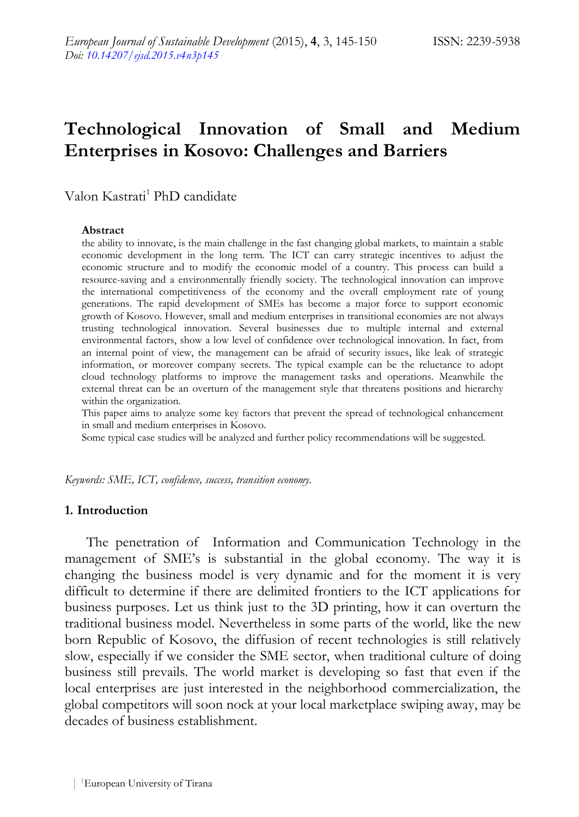# **Technological Innovation of Small and Medium Enterprises in Kosovo: Challenges and Barriers**

### Valon Kastrati<sup>1</sup> PhD candidate

#### **Abstract**

the ability to innovate, is the main challenge in the fast changing global markets, to maintain a stable economic development in the long term. The ICT can carry strategic incentives to adjust the economic structure and to modify the economic model of a country. This process can build a resource-saving and a environmentally friendly society. The technological innovation can improve the international competitiveness of the economy and the overall employment rate of young generations. The rapid development of SMEs has become a major force to support economic growth of Kosovo. However, small and medium enterprises in transitional economies are not always trusting technological innovation. Several businesses due to multiple internal and external environmental factors, show a low level of confidence over technological innovation. In fact, from an internal point of view, the management can be afraid of security issues, like leak of strategic information, or moreover company secrets. The typical example can be the reluctance to adopt cloud technology platforms to improve the management tasks and operations. Meanwhile the external threat can be an overturn of the management style that threatens positions and hierarchy within the organization.

This paper aims to analyze some key factors that prevent the spread of technological enhancement in small and medium enterprises in Kosovo.

Some typical case studies will be analyzed and further policy recommendations will be suggested.

*Keywords: SME, ICT, confidence, success, transition economy.*

#### **1. Introduction**

The penetration of Information and Communication Technology in the management of SME's is substantial in the global economy. The way it is changing the business model is very dynamic and for the moment it is very difficult to determine if there are delimited frontiers to the ICT applications for business purposes. Let us think just to the 3D printing, how it can overturn the traditional business model. Nevertheless in some parts of the world, like the new born Republic of Kosovo, the diffusion of recent technologies is still relatively slow, especially if we consider the SME sector, when traditional culture of doing business still prevails. The world market is developing so fast that even if the local enterprises are just interested in the neighborhood commercialization, the global competitors will soon nock at your local marketplace swiping away, may be decades of business establishment.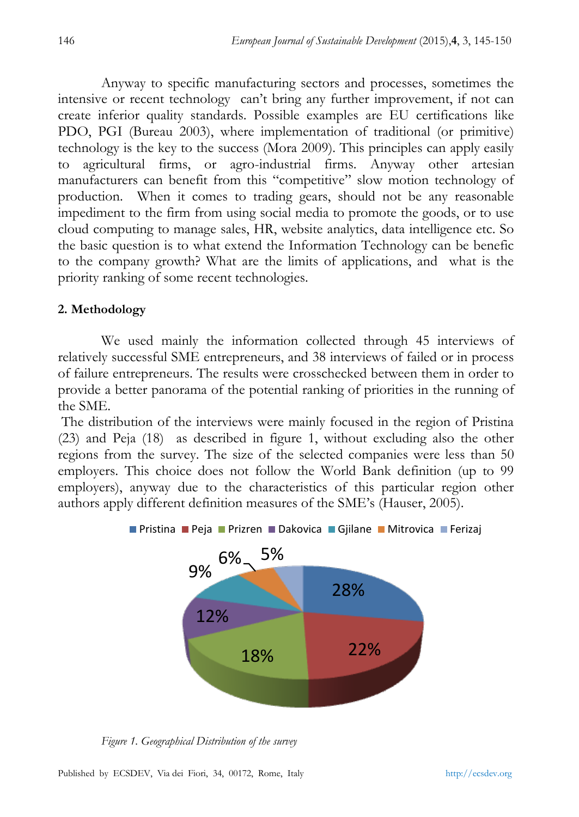Anyway to specific manufacturing sectors and processes, sometimes the intensive or recent technology can't bring any further improvement, if not can create inferior quality standards. Possible examples are EU certifications like PDO, PGI (Bureau 2003), where implementation of traditional (or primitive) technology is the key to the success (Mora 2009). This principles can apply easily to agricultural firms, or agro-industrial firms. Anyway other artesian manufacturers can benefit from this "competitive" slow motion technology of production. When it comes to trading gears, should not be any reasonable impediment to the firm from using social media to promote the goods, or to use cloud computing to manage sales, HR, website analytics, data intelligence etc. So the basic question is to what extend the Information Technology can be benefic to the company growth? What are the limits of applications, and what is the priority ranking of some recent technologies.

### **2. Methodology**

We used mainly the information collected through 45 interviews of relatively successful SME entrepreneurs, and 38 interviews of failed or in process of failure entrepreneurs. The results were crosschecked between them in order to provide a better panorama of the potential ranking of priorities in the running of the SME.

The distribution of the interviews were mainly focused in the region of Pristina (23) and Peja (18) as described in figure 1, without excluding also the other regions from the survey. The size of the selected companies were less than 50 employers. This choice does not follow the World Bank definition (up to 99 employers), anyway due to the characteristics of this particular region other authors apply different definition measures of the SME's (Hauser, 2005).



*Figure 1. Geographical Distribution of the survey*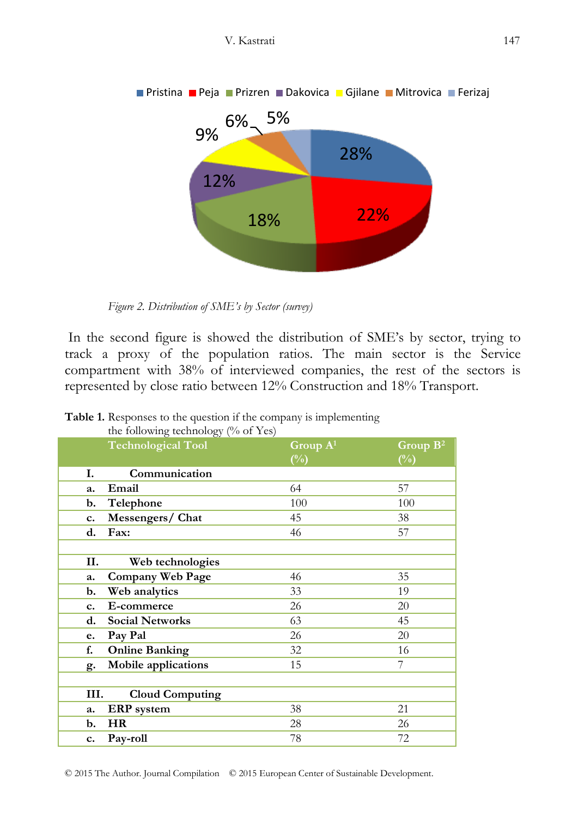

*Figure 2. Distribution of SME's by Sector (survey)*

In the second figure is showed the distribution of SME's by sector, trying to track a proxy of the population ratios. The main sector is the Service compartment with 38% of interviewed companies, the rest of the sectors is represented by close ratio between 12% Construction and 18% Transport.

| $\frac{1}{2}$ rono $\frac{1}{2}$ recembers of $\frac{1}{2}$ rooms.<br><b>Technological Tool</b> | Group $A^1$<br>$(\%)$ | Group $B^2$<br>$(\%)$ |
|-------------------------------------------------------------------------------------------------|-----------------------|-----------------------|
| Communication<br>Ι.                                                                             |                       |                       |
| Email<br>a.                                                                                     | 64                    | 57                    |
| Telephone<br>b.                                                                                 | 100                   | 100                   |
| Messengers/Chat<br>c.                                                                           | 45                    | 38                    |
| Fax:<br>d.                                                                                      | 46                    | 57                    |
|                                                                                                 |                       |                       |
| Н.<br>Web technologies                                                                          |                       |                       |
| Company Web Page<br>a.                                                                          | 46                    | 35                    |
| Web analytics<br>b.                                                                             | 33                    | 19                    |
| E-commerce<br>c.                                                                                | 26                    | 20                    |
| <b>Social Networks</b><br>d.                                                                    | 63                    | 45                    |
| Pay Pal<br>e.                                                                                   | 26                    | 20                    |
| <b>Online Banking</b><br>f.                                                                     | 32                    | 16                    |
| Mobile applications<br>g.                                                                       | 15                    | 7                     |
|                                                                                                 |                       |                       |
| III.<br><b>Cloud Computing</b>                                                                  |                       |                       |
| <b>ERP</b> system<br>a.                                                                         | 38                    | 21                    |
| HR<br>b.                                                                                        | 28                    | 26                    |
| Pay-roll<br>c.                                                                                  | 78                    | 72                    |

**Table 1.** Responses to the question if the company is implementing the following technology (% of Yes)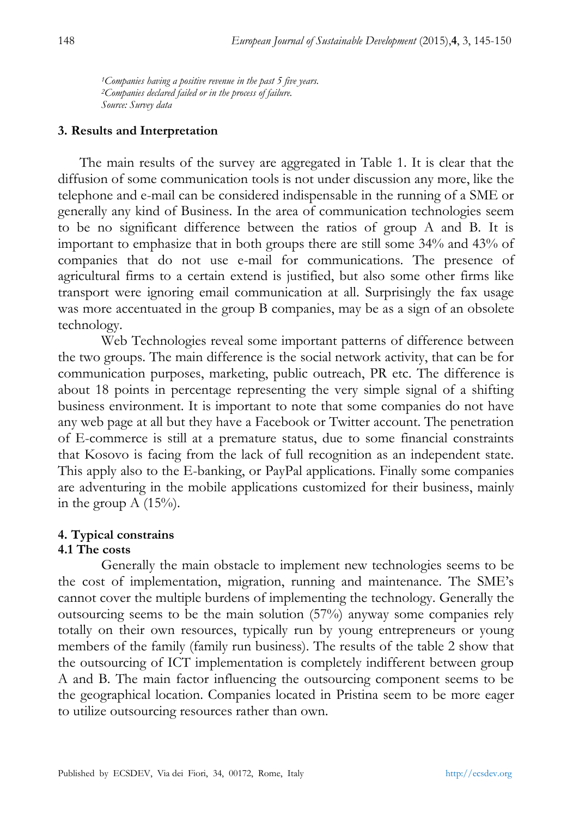*<sup>1</sup>Companies having a positive revenue in the past 5 five years. <sup>2</sup>Companies declared failed or in the process of failure. Source: Survey data*

### **3. Results and Interpretation**

The main results of the survey are aggregated in Table 1. It is clear that the diffusion of some communication tools is not under discussion any more, like the telephone and e-mail can be considered indispensable in the running of a SME or generally any kind of Business. In the area of communication technologies seem to be no significant difference between the ratios of group A and B. It is important to emphasize that in both groups there are still some 34% and 43% of companies that do not use e-mail for communications. The presence of agricultural firms to a certain extend is justified, but also some other firms like transport were ignoring email communication at all. Surprisingly the fax usage was more accentuated in the group B companies, may be as a sign of an obsolete technology.

Web Technologies reveal some important patterns of difference between the two groups. The main difference is the social network activity, that can be for communication purposes, marketing, public outreach, PR etc. The difference is about 18 points in percentage representing the very simple signal of a shifting business environment. It is important to note that some companies do not have any web page at all but they have a Facebook or Twitter account. The penetration of E-commerce is still at a premature status, due to some financial constraints that Kosovo is facing from the lack of full recognition as an independent state. This apply also to the E-banking, or PayPal applications. Finally some companies are adventuring in the mobile applications customized for their business, mainly in the group  $A(15\%)$ .

## **4. Typical constrains**

## **4.1 The costs**

Generally the main obstacle to implement new technologies seems to be the cost of implementation, migration, running and maintenance. The SME's cannot cover the multiple burdens of implementing the technology. Generally the outsourcing seems to be the main solution (57%) anyway some companies rely totally on their own resources, typically run by young entrepreneurs or young members of the family (family run business). The results of the table 2 show that the outsourcing of ICT implementation is completely indifferent between group A and B. The main factor influencing the outsourcing component seems to be the geographical location. Companies located in Pristina seem to be more eager to utilize outsourcing resources rather than own.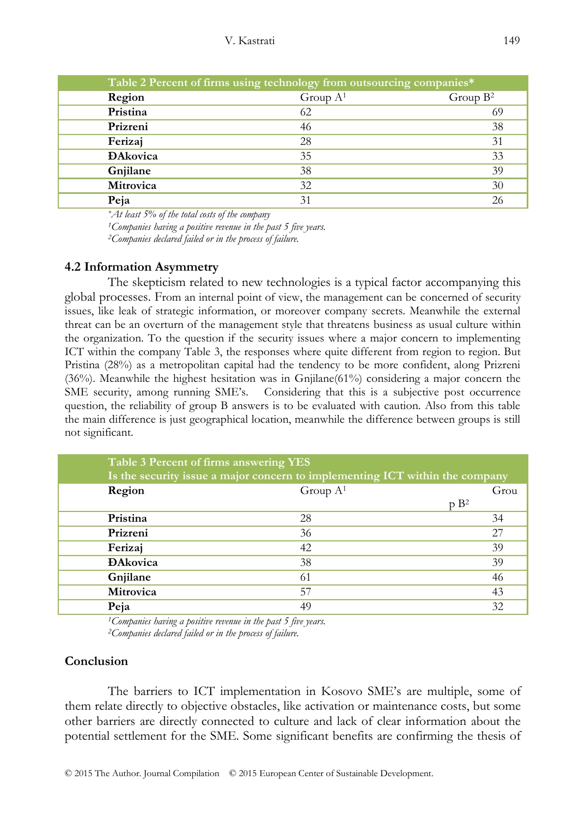| Table 2 Percent of firms using technology from outsourcing companies* |             |             |  |
|-----------------------------------------------------------------------|-------------|-------------|--|
| Region                                                                | Group $A^1$ | Group $B^2$ |  |
| Pristina                                                              | 62          | 69          |  |
| Prizreni                                                              | 46          | 38          |  |
| Ferizaj                                                               | 28          | 31          |  |
| <b>DAkovica</b>                                                       | 35          | 33          |  |
| Gnjilane                                                              | 38          | 39          |  |
| Mitrovica                                                             | 32          | 30          |  |
| Peja                                                                  |             | 26          |  |

*\*At least 5% of the total costs of the company*

*<sup>1</sup>Companies having a positive revenue in the past 5 five years. <sup>2</sup>Companies declared failed or in the process of failure.*

#### **4.2 Information Asymmetry**

The skepticism related to new technologies is a typical factor accompanying this global processes. From an internal point of view, the management can be concerned of security issues, like leak of strategic information, or moreover company secrets. Meanwhile the external threat can be an overturn of the management style that threatens business as usual culture within the organization. To the question if the security issues where a major concern to implementing ICT within the company Table 3, the responses where quite different from region to region. But Pristina (28%) as a metropolitan capital had the tendency to be more confident, along Prizreni (36%). Meanwhile the highest hesitation was in Gnjilane(61%) considering a major concern the SME security, among running SME's. Considering that this is a subjective post occurrence question, the reliability of group B answers is to be evaluated with caution. Also from this table the main difference is just geographical location, meanwhile the difference between groups is still not significant.

| Table 3 Percent of firms answering YES                                       |             |                  |  |  |
|------------------------------------------------------------------------------|-------------|------------------|--|--|
| Is the security issue a major concern to implementing ICT within the company |             |                  |  |  |
| Region                                                                       | Group $A^1$ | Grou             |  |  |
|                                                                              |             | p B <sup>2</sup> |  |  |
| Pristina                                                                     | 28          | 34               |  |  |
| Prizreni                                                                     | 36          | 27               |  |  |
| Ferizaj                                                                      | 42          | 39               |  |  |
| <b>Đ</b> Akovica                                                             | 38          | 39               |  |  |
| Gnjilane                                                                     | 61          | 46               |  |  |
| Mitrovica                                                                    | 57          | 43               |  |  |
| Peja                                                                         | 49          | 32               |  |  |

*<sup>1</sup>Companies having a positive revenue in the past 5 five years. <sup>2</sup>Companies declared failed or in the process of failure.*

### **Conclusion**

The barriers to ICT implementation in Kosovo SME's are multiple, some of them relate directly to objective obstacles, like activation or maintenance costs, but some other barriers are directly connected to culture and lack of clear information about the potential settlement for the SME. Some significant benefits are confirming the thesis of